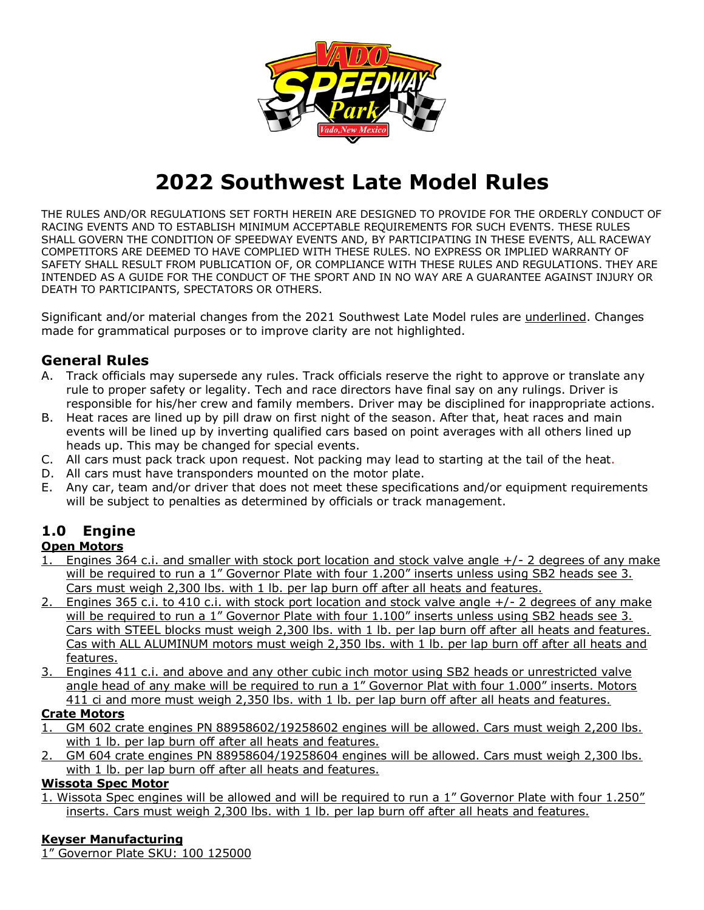

# **2022 Southwest Late Model Rules**

THE RULES AND/OR REGULATIONS SET FORTH HEREIN ARE DESIGNED TO PROVIDE FOR THE ORDERLY CONDUCT OF RACING EVENTS AND TO ESTABLISH MINIMUM ACCEPTABLE REQUIREMENTS FOR SUCH EVENTS. THESE RULES SHALL GOVERN THE CONDITION OF SPEEDWAY EVENTS AND, BY PARTICIPATING IN THESE EVENTS, ALL RACEWAY COMPETITORS ARE DEEMED TO HAVE COMPLIED WITH THESE RULES. NO EXPRESS OR IMPLIED WARRANTY OF SAFETY SHALL RESULT FROM PUBLICATION OF, OR COMPLIANCE WITH THESE RULES AND REGULATIONS. THEY ARE INTENDED AS A GUIDE FOR THE CONDUCT OF THE SPORT AND IN NO WAY ARE A GUARANTEE AGAINST INJURY OR DEATH TO PARTICIPANTS, SPECTATORS OR OTHERS.

Significant and/or material changes from the 2021 Southwest Late Model rules are underlined. Changes made for grammatical purposes or to improve clarity are not highlighted.

#### **General Rules**

- A. Track officials may supersede any rules. Track officials reserve the right to approve or translate any rule to proper safety or legality. Tech and race directors have final say on any rulings. Driver is responsible for his/her crew and family members. Driver may be disciplined for inappropriate actions.
- B. Heat races are lined up by pill draw on first night of the season. After that, heat races and main events will be lined up by inverting qualified cars based on point averages with all others lined up heads up. This may be changed for special events.
- C. All cars must pack track upon request. Not packing may lead to starting at the tail of the heat.
- D. All cars must have transponders mounted on the motor plate.
- E. Any car, team and/or driver that does not meet these specifications and/or equipment requirements will be subject to penalties as determined by officials or track management.

# **1.0 Engine**

#### **Open Motors**

- 1. Engines 364 c.i. and smaller with stock port location and stock valve angle +/- 2 degrees of any make will be required to run a 1" Governor Plate with four 1.200" inserts unless using SB2 heads see 3. Cars must weigh 2,300 lbs. with 1 lb. per lap burn off after all heats and features.
- 2. Engines 365 c.i. to 410 c.i. with stock port location and stock valve angle +/- 2 degrees of any make will be required to run a 1" Governor Plate with four 1.100" inserts unless using SB2 heads see 3. Cars with STEEL blocks must weigh 2,300 lbs. with 1 lb. per lap burn off after all heats and features. Cas with ALL ALUMINUM motors must weigh 2,350 lbs. with 1 lb. per lap burn off after all heats and features.
- 3. Engines 411 c.i. and above and any other cubic inch motor using SB2 heads or unrestricted valve angle head of any make will be required to run a 1" Governor Plat with four 1.000" inserts. Motors 411 ci and more must weigh 2,350 lbs. with 1 lb. per lap burn off after all heats and features.

#### **Crate Motors**

- 1. GM 602 crate engines PN 88958602/19258602 engines will be allowed. Cars must weigh 2,200 lbs. with 1 lb. per lap burn off after all heats and features.
- 2. GM 604 crate engines PN 88958604/19258604 engines will be allowed. Cars must weigh 2,300 lbs. with 1 lb. per lap burn off after all heats and features.

#### **Wissota Spec Motor**

1. Wissota Spec engines will be allowed and will be required to run a 1" Governor Plate with four 1.250" inserts. Cars must weigh 2,300 lbs. with 1 lb. per lap burn off after all heats and features.

#### **Keyser Manufacturing**

1" Governor Plate SKU: 100 125000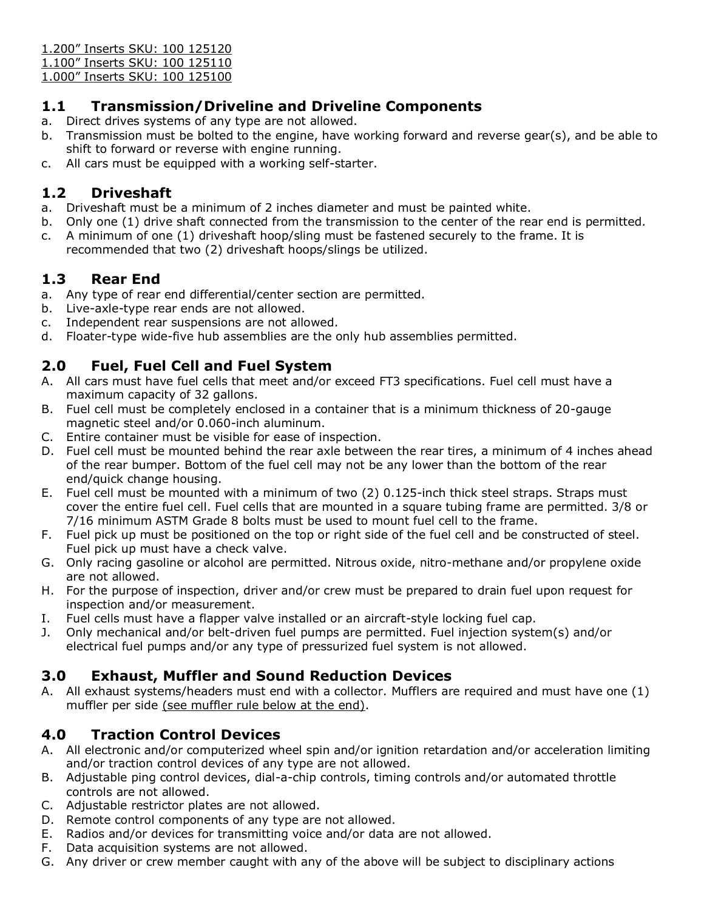1.200" Inserts SKU: 100 125120

1.100" Inserts SKU: 100 125110

1.000" Inserts SKU: 100 125100

#### **1.1 Transmission/Driveline and Driveline Components**

- a. Direct drives systems of any type are not allowed.
- b. Transmission must be bolted to the engine, have working forward and reverse gear(s), and be able to shift to forward or reverse with engine running.
- c. All cars must be equipped with a working self-starter.

#### **1.2 Driveshaft**

- a. Driveshaft must be a minimum of 2 inches diameter and must be painted white.
- b. Only one (1) drive shaft connected from the transmission to the center of the rear end is permitted.
- c. A minimum of one (1) driveshaft hoop/sling must be fastened securely to the frame. It is recommended that two (2) driveshaft hoops/slings be utilized.

#### **1.3 Rear End**

- a. Any type of rear end differential/center section are permitted.
- b. Live-axle-type rear ends are not allowed.
- c. Independent rear suspensions are not allowed.
- d. Floater-type wide-five hub assemblies are the only hub assemblies permitted.

#### **2.0 Fuel, Fuel Cell and Fuel System**

- A. All cars must have fuel cells that meet and/or exceed FT3 specifications. Fuel cell must have a maximum capacity of 32 gallons.
- B. Fuel cell must be completely enclosed in a container that is a minimum thickness of 20-gauge magnetic steel and/or 0.060-inch aluminum.
- C. Entire container must be visible for ease of inspection.
- D. Fuel cell must be mounted behind the rear axle between the rear tires, a minimum of 4 inches ahead of the rear bumper. Bottom of the fuel cell may not be any lower than the bottom of the rear end/quick change housing.
- E. Fuel cell must be mounted with a minimum of two (2) 0.125-inch thick steel straps. Straps must cover the entire fuel cell. Fuel cells that are mounted in a square tubing frame are permitted. 3/8 or 7/16 minimum ASTM Grade 8 bolts must be used to mount fuel cell to the frame.
- F. Fuel pick up must be positioned on the top or right side of the fuel cell and be constructed of steel. Fuel pick up must have a check valve.
- G. Only racing gasoline or alcohol are permitted. Nitrous oxide, nitro-methane and/or propylene oxide are not allowed.
- H. For the purpose of inspection, driver and/or crew must be prepared to drain fuel upon request for inspection and/or measurement.
- I. Fuel cells must have a flapper valve installed or an aircraft-style locking fuel cap.
- J. Only mechanical and/or belt-driven fuel pumps are permitted. Fuel injection system(s) and/or electrical fuel pumps and/or any type of pressurized fuel system is not allowed.

#### **3.0 Exhaust, Muffler and Sound Reduction Devices**

A. All exhaust systems/headers must end with a collector. Mufflers are required and must have one (1) muffler per side (see muffler rule below at the end).

#### **4.0 Traction Control Devices**

- A. All electronic and/or computerized wheel spin and/or ignition retardation and/or acceleration limiting and/or traction control devices of any type are not allowed.
- B. Adjustable ping control devices, dial-a-chip controls, timing controls and/or automated throttle controls are not allowed.
- C. Adjustable restrictor plates are not allowed.
- D. Remote control components of any type are not allowed.
- E. Radios and/or devices for transmitting voice and/or data are not allowed.
- F. Data acquisition systems are not allowed.
- G. Any driver or crew member caught with any of the above will be subject to disciplinary actions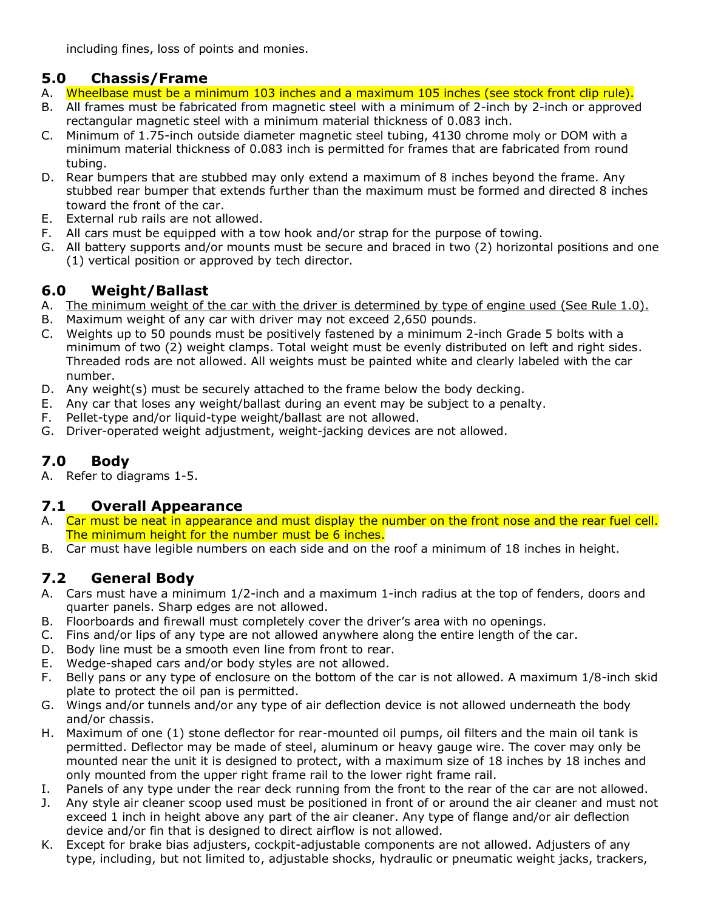including fines, loss of points and monies.

#### **5.0 Chassis/Frame**

- A. Wheelbase must be a minimum 103 inches and a maximum 105 inches (see stock front clip rule).
- B. All frames must be fabricated from magnetic steel with a minimum of 2-inch by 2-inch or approved rectangular magnetic steel with a minimum material thickness of 0.083 inch.
- C. Minimum of 1.75-inch outside diameter magnetic steel tubing, 4130 chrome moly or DOM with a minimum material thickness of 0.083 inch is permitted for frames that are fabricated from round tubing.
- D. Rear bumpers that are stubbed may only extend a maximum of 8 inches beyond the frame. Any stubbed rear bumper that extends further than the maximum must be formed and directed 8 inches toward the front of the car.
- E. External rub rails are not allowed.
- F. All cars must be equipped with a tow hook and/or strap for the purpose of towing.
- G. All battery supports and/or mounts must be secure and braced in two (2) horizontal positions and one (1) vertical position or approved by tech director.

### **6.0 Weight/Ballast**

- A. The minimum weight of the car with the driver is determined by type of engine used (See Rule 1.0).
- B. Maximum weight of any car with driver may not exceed 2,650 pounds.
- C. Weights up to 50 pounds must be positively fastened by a minimum 2-inch Grade 5 bolts with a minimum of two (2) weight clamps. Total weight must be evenly distributed on left and right sides. Threaded rods are not allowed. All weights must be painted white and clearly labeled with the car number.
- D. Any weight(s) must be securely attached to the frame below the body decking.
- E. Any car that loses any weight/ballast during an event may be subject to a penalty.
- F. Pellet-type and/or liquid-type weight/ballast are not allowed.
- G. Driver-operated weight adjustment, weight-jacking devices are not allowed.

# **7.0 Body**

A. Refer to diagrams 1-5.

#### **7.1 Overall Appearance**

- A. Car must be neat in appearance and must display the number on the front nose and the rear fuel cell. The minimum height for the number must be 6 inches.
- B. Car must have legible numbers on each side and on the roof a minimum of 18 inches in height.

# **7.2 General Body**

- A. Cars must have a minimum 1/2-inch and a maximum 1-inch radius at the top of fenders, doors and quarter panels. Sharp edges are not allowed.
- B. Floorboards and firewall must completely cover the driver's area with no openings.
- C. Fins and/or lips of any type are not allowed anywhere along the entire length of the car.
- D. Body line must be a smooth even line from front to rear.
- E. Wedge-shaped cars and/or body styles are not allowed.
- F. Belly pans or any type of enclosure on the bottom of the car is not allowed. A maximum 1/8-inch skid plate to protect the oil pan is permitted.
- G. Wings and/or tunnels and/or any type of air deflection device is not allowed underneath the body and/or chassis.
- H. Maximum of one (1) stone deflector for rear-mounted oil pumps, oil filters and the main oil tank is permitted. Deflector may be made of steel, aluminum or heavy gauge wire. The cover may only be mounted near the unit it is designed to protect, with a maximum size of 18 inches by 18 inches and only mounted from the upper right frame rail to the lower right frame rail.
- I. Panels of any type under the rear deck running from the front to the rear of the car are not allowed.
- J. Any style air cleaner scoop used must be positioned in front of or around the air cleaner and must not exceed 1 inch in height above any part of the air cleaner. Any type of flange and/or air deflection device and/or fin that is designed to direct airflow is not allowed.
- K. Except for brake bias adjusters, cockpit-adjustable components are not allowed. Adjusters of any type, including, but not limited to, adjustable shocks, hydraulic or pneumatic weight jacks, trackers,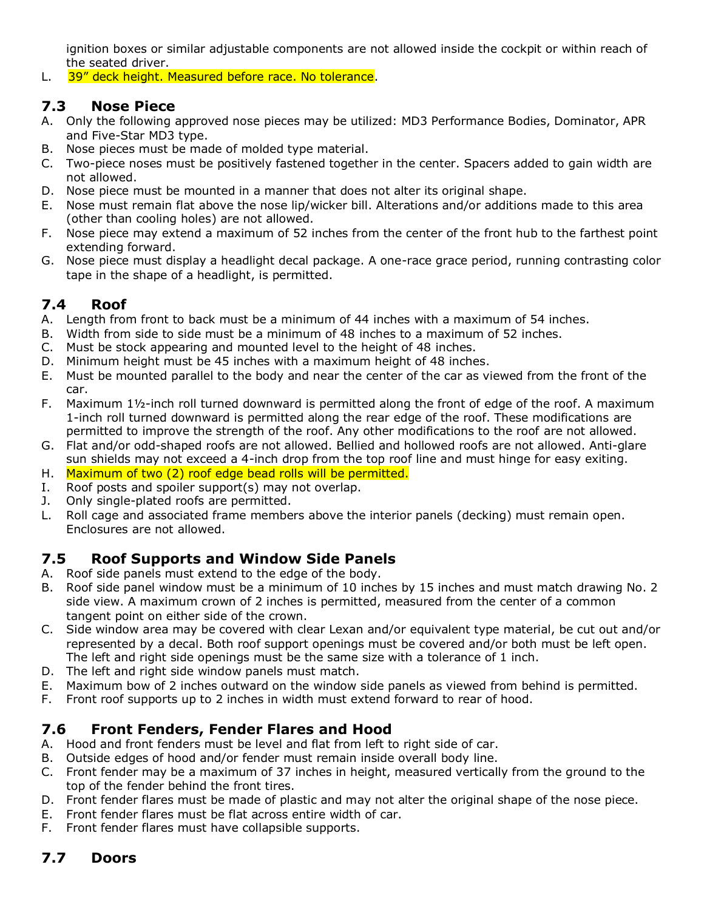ignition boxes or similar adjustable components are not allowed inside the cockpit or within reach of the seated driver.

L. 39" deck height. Measured before race. No tolerance.

#### **7.3 Nose Piece**

- A. Only the following approved nose pieces may be utilized: MD3 Performance Bodies, Dominator, APR and Five-Star MD3 type.
- B. Nose pieces must be made of molded type material.
- C. Two-piece noses must be positively fastened together in the center. Spacers added to gain width are not allowed.
- D. Nose piece must be mounted in a manner that does not alter its original shape.
- E. Nose must remain flat above the nose lip/wicker bill. Alterations and/or additions made to this area (other than cooling holes) are not allowed.
- F. Nose piece may extend a maximum of 52 inches from the center of the front hub to the farthest point extending forward.
- G. Nose piece must display a headlight decal package. A one-race grace period, running contrasting color tape in the shape of a headlight, is permitted.

#### **7.4 Roof**

- A. Length from front to back must be a minimum of 44 inches with a maximum of 54 inches.
- B. Width from side to side must be a minimum of 48 inches to a maximum of 52 inches.
- C. Must be stock appearing and mounted level to the height of 48 inches.
- D. Minimum height must be 45 inches with a maximum height of 48 inches.
- E. Must be mounted parallel to the body and near the center of the car as viewed from the front of the car.
- F. Maximum 1½-inch roll turned downward is permitted along the front of edge of the roof. A maximum 1-inch roll turned downward is permitted along the rear edge of the roof. These modifications are permitted to improve the strength of the roof. Any other modifications to the roof are not allowed.
- G. Flat and/or odd-shaped roofs are not allowed. Bellied and hollowed roofs are not allowed. Anti-glare sun shields may not exceed a 4-inch drop from the top roof line and must hinge for easy exiting.
- H. Maximum of two (2) roof edge bead rolls will be permitted.
- I. Roof posts and spoiler support(s) may not overlap.
- J. Only single-plated roofs are permitted.
- L. Roll cage and associated frame members above the interior panels (decking) must remain open. Enclosures are not allowed.

#### **7.5 Roof Supports and Window Side Panels**

- A. Roof side panels must extend to the edge of the body.
- B. Roof side panel window must be a minimum of 10 inches by 15 inches and must match drawing No. 2 side view. A maximum crown of 2 inches is permitted, measured from the center of a common tangent point on either side of the crown.
- C. Side window area may be covered with clear Lexan and/or equivalent type material, be cut out and/or represented by a decal. Both roof support openings must be covered and/or both must be left open. The left and right side openings must be the same size with a tolerance of 1 inch.
- D. The left and right side window panels must match.
- E. Maximum bow of 2 inches outward on the window side panels as viewed from behind is permitted.
- F. Front roof supports up to 2 inches in width must extend forward to rear of hood.

#### **7.6 Front Fenders, Fender Flares and Hood**

- A. Hood and front fenders must be level and flat from left to right side of car.
- B. Outside edges of hood and/or fender must remain inside overall body line.
- C. Front fender may be a maximum of 37 inches in height, measured vertically from the ground to the top of the fender behind the front tires.
- D. Front fender flares must be made of plastic and may not alter the original shape of the nose piece.
- E. Front fender flares must be flat across entire width of car.
- F. Front fender flares must have collapsible supports.

#### **7.7 Doors**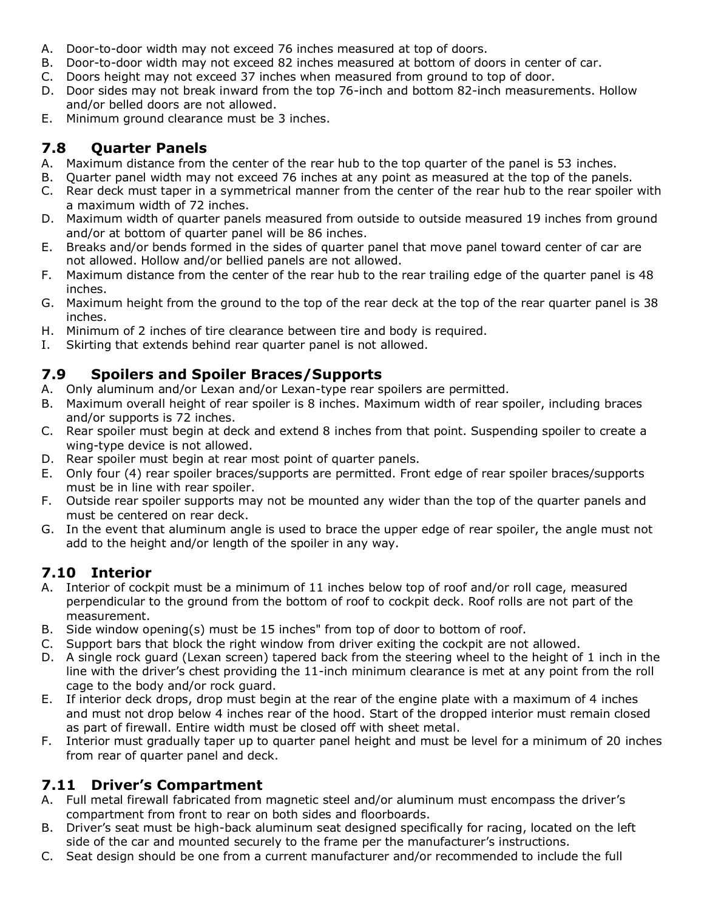- A. Door-to-door width may not exceed 76 inches measured at top of doors.
- B. Door-to-door width may not exceed 82 inches measured at bottom of doors in center of car.
- C. Doors height may not exceed 37 inches when measured from ground to top of door.
- D. Door sides may not break inward from the top 76-inch and bottom 82-inch measurements. Hollow and/or belled doors are not allowed.
- E. Minimum ground clearance must be 3 inches.

# **7.8 Quarter Panels**

- A. Maximum distance from the center of the rear hub to the top quarter of the panel is 53 inches.
- B. Quarter panel width may not exceed 76 inches at any point as measured at the top of the panels.
- C. Rear deck must taper in a symmetrical manner from the center of the rear hub to the rear spoiler with a maximum width of 72 inches.
- D. Maximum width of quarter panels measured from outside to outside measured 19 inches from ground and/or at bottom of quarter panel will be 86 inches.
- E. Breaks and/or bends formed in the sides of quarter panel that move panel toward center of car are not allowed. Hollow and/or bellied panels are not allowed.
- F. Maximum distance from the center of the rear hub to the rear trailing edge of the quarter panel is 48 inches.
- G. Maximum height from the ground to the top of the rear deck at the top of the rear quarter panel is 38 inches.
- H. Minimum of 2 inches of tire clearance between tire and body is required.
- I. Skirting that extends behind rear quarter panel is not allowed.

# **7.9 Spoilers and Spoiler Braces/Supports**

- A. Only aluminum and/or Lexan and/or Lexan-type rear spoilers are permitted.
- B. Maximum overall height of rear spoiler is 8 inches. Maximum width of rear spoiler, including braces and/or supports is 72 inches.
- C. Rear spoiler must begin at deck and extend 8 inches from that point. Suspending spoiler to create a wing-type device is not allowed.
- D. Rear spoiler must begin at rear most point of quarter panels.
- E. Only four (4) rear spoiler braces/supports are permitted. Front edge of rear spoiler braces/supports must be in line with rear spoiler.
- F. Outside rear spoiler supports may not be mounted any wider than the top of the quarter panels and must be centered on rear deck.
- G. In the event that aluminum angle is used to brace the upper edge of rear spoiler, the angle must not add to the height and/or length of the spoiler in any way.

# **7.10 Interior**

- A. Interior of cockpit must be a minimum of 11 inches below top of roof and/or roll cage, measured perpendicular to the ground from the bottom of roof to cockpit deck. Roof rolls are not part of the measurement.
- B. Side window opening(s) must be 15 inches" from top of door to bottom of roof.
- C. Support bars that block the right window from driver exiting the cockpit are not allowed.
- D. A single rock guard (Lexan screen) tapered back from the steering wheel to the height of 1 inch in the line with the driver's chest providing the 11-inch minimum clearance is met at any point from the roll cage to the body and/or rock guard.
- E. If interior deck drops, drop must begin at the rear of the engine plate with a maximum of 4 inches and must not drop below 4 inches rear of the hood. Start of the dropped interior must remain closed as part of firewall. Entire width must be closed off with sheet metal.
- F. Interior must gradually taper up to quarter panel height and must be level for a minimum of 20 inches from rear of quarter panel and deck.

# **7.11 Driver's Compartment**

- A. Full metal firewall fabricated from magnetic steel and/or aluminum must encompass the driver's compartment from front to rear on both sides and floorboards.
- B. Driver's seat must be high-back aluminum seat designed specifically for racing, located on the left side of the car and mounted securely to the frame per the manufacturer's instructions.
- C. Seat design should be one from a current manufacturer and/or recommended to include the full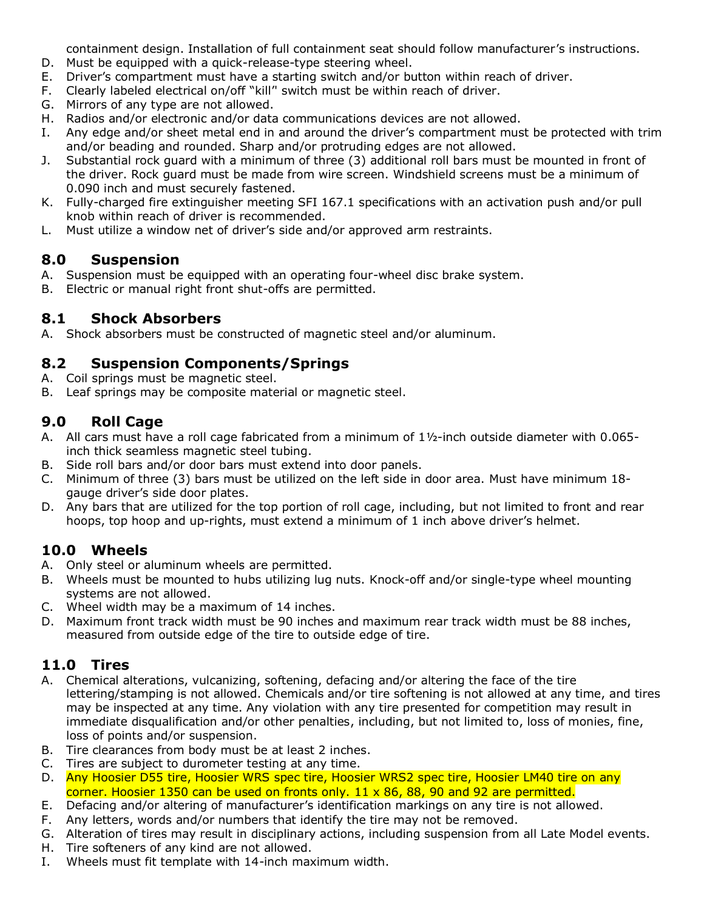containment design. Installation of full containment seat should follow manufacturer's instructions.

- D. Must be equipped with a quick-release-type steering wheel.
- E. Driver's compartment must have a starting switch and/or button within reach of driver.
- F. Clearly labeled electrical on/off "kill'' switch must be within reach of driver.
- G. Mirrors of any type are not allowed.
- H. Radios and/or electronic and/or data communications devices are not allowed.
- I. Any edge and/or sheet metal end in and around the driver's compartment must be protected with trim and/or beading and rounded. Sharp and/or protruding edges are not allowed.
- J. Substantial rock guard with a minimum of three (3) additional roll bars must be mounted in front of the driver. Rock guard must be made from wire screen. Windshield screens must be a minimum of 0.090 inch and must securely fastened.
- K. Fully-charged fire extinguisher meeting SFI 167.1 specifications with an activation push and/or pull knob within reach of driver is recommended.
- L. Must utilize a window net of driver's side and/or approved arm restraints.

#### **8.0 Suspension**

- A. Suspension must be equipped with an operating four-wheel disc brake system.
- B. Electric or manual right front shut-offs are permitted.

#### **8.1 Shock Absorbers**

A. Shock absorbers must be constructed of magnetic steel and/or aluminum.

#### **8.2 Suspension Components/Springs**

- A. Coil springs must be magnetic steel.
- B. Leaf springs may be composite material or magnetic steel.

#### **9.0 Roll Cage**

- A. All cars must have a roll cage fabricated from a minimum of 1½-inch outside diameter with 0.065 inch thick seamless magnetic steel tubing.
- B. Side roll bars and/or door bars must extend into door panels.
- C. Minimum of three (3) bars must be utilized on the left side in door area. Must have minimum 18 gauge driver's side door plates.
- D. Any bars that are utilized for the top portion of roll cage, including, but not limited to front and rear hoops, top hoop and up-rights, must extend a minimum of 1 inch above driver's helmet.

#### **10.0 Wheels**

- A. Only steel or aluminum wheels are permitted.
- B. Wheels must be mounted to hubs utilizing lug nuts. Knock-off and/or single-type wheel mounting systems are not allowed.
- C. Wheel width may be a maximum of 14 inches.
- D. Maximum front track width must be 90 inches and maximum rear track width must be 88 inches, measured from outside edge of the tire to outside edge of tire.

#### **11.0 Tires**

- A. Chemical alterations, vulcanizing, softening, defacing and/or altering the face of the tire lettering/stamping is not allowed. Chemicals and/or tire softening is not allowed at any time, and tires may be inspected at any time. Any violation with any tire presented for competition may result in immediate disqualification and/or other penalties, including, but not limited to, loss of monies, fine, loss of points and/or suspension.
- B. Tire clearances from body must be at least 2 inches.
- C. Tires are subject to durometer testing at any time.
- D. Any Hoosier D55 tire, Hoosier WRS spec tire, Hoosier WRS2 spec tire, Hoosier LM40 tire on any corner. Hoosier 1350 can be used on fronts only.  $11 \times 86$ , 88, 90 and 92 are permitted.
- E. Defacing and/or altering of manufacturer's identification markings on any tire is not allowed.
- F. Any letters, words and/or numbers that identify the tire may not be removed.
- G. Alteration of tires may result in disciplinary actions, including suspension from all Late Model events.
- H. Tire softeners of any kind are not allowed.
- I. Wheels must fit template with 14-inch maximum width.